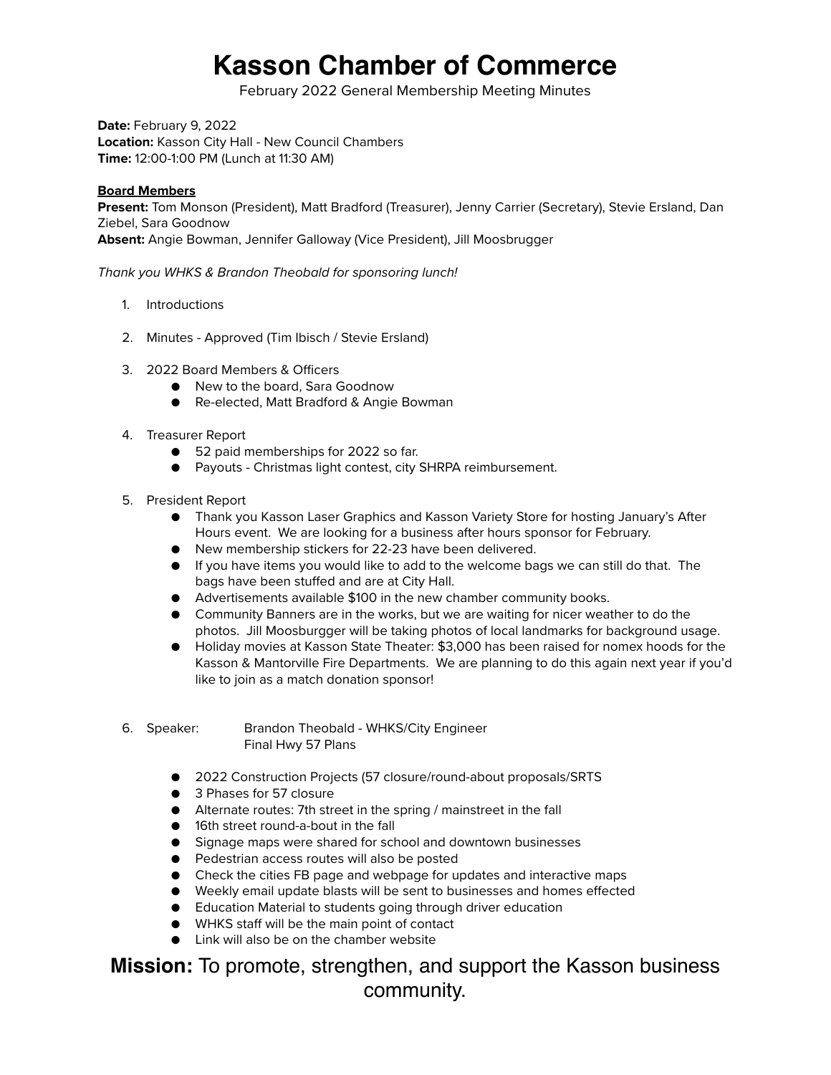## **Kasson Chamber of Commerce**

February 2022 General Membership Meeting Minutes

**Date:** February 9, 2022 **Location:** Kasson City Hall - New Council Chambers **Time:** 12:00-1:00 PM (Lunch at 11:30 AM)

## **Board Members**

**Present:** Tom Monson (President), Matt Bradford (Treasurer), Jenny Carrier (Secretary), Stevie Ersland, Dan Ziebel, Sara Goodnow **Absent:** Angie Bowman, Jennifer Galloway (Vice President), Jill Moosbrugger

*Thank you WHKS & Brandon Theobald for sponsoring lunch!*

- 1. Introductions
- 2. Minutes Approved (Tim Ibisch / Stevie Ersland)
- 3. 2022 Board Members & Officers
	- New to the board, Sara Goodnow
	- Re-elected, Matt Bradford & Angie Bowman
- 4. Treasurer Report
	- 52 paid memberships for 2022 so far.
	- Payouts Christmas light contest, city SHRPA reimbursement.
- 5. President Report
	- Thank you Kasson Laser Graphics and Kasson Variety Store for hosting January's After Hours event. We are looking for a business after hours sponsor for February.
	- New membership stickers for 22-23 have been delivered.
	- If you have items you would like to add to the welcome bags we can still do that. The bags have been stuffed and are at City Hall.
	- Advertisements available \$100 in the new chamber community books.
	- Community Banners are in the works, but we are waiting for nicer weather to do the photos. Jill Moosburgger will be taking photos of local landmarks for background usage.
	- Holiday movies at Kasson State Theater: \$3,000 has been raised for nomex hoods for the Kasson & Mantorville Fire Departments. We are planning to do this again next year if you'd like to join as a match donation sponsor!
- 6. Speaker: Brandon Theobald WHKS/City Engineer Final Hwy 57 Plans
	- 2022 Construction Projects (57 closure/round-about proposals/SRTS
	- 3 Phases for 57 closure
	- Alternate routes: 7th street in the spring / mainstreet in the fall
	- 16th street round-a-bout in the fall
	- Signage maps were shared for school and downtown businesses
	- Pedestrian access routes will also be posted
	- Check the cities FB page and webpage for updates and interactive maps
	- Weekly email update blasts will be sent to businesses and homes effected
	- Education Material to students going through driver education
	- WHKS staff will be the main point of contact
	- Link will also be on the chamber website

## **Mission:** To promote, strengthen, and support the Kasson business community.